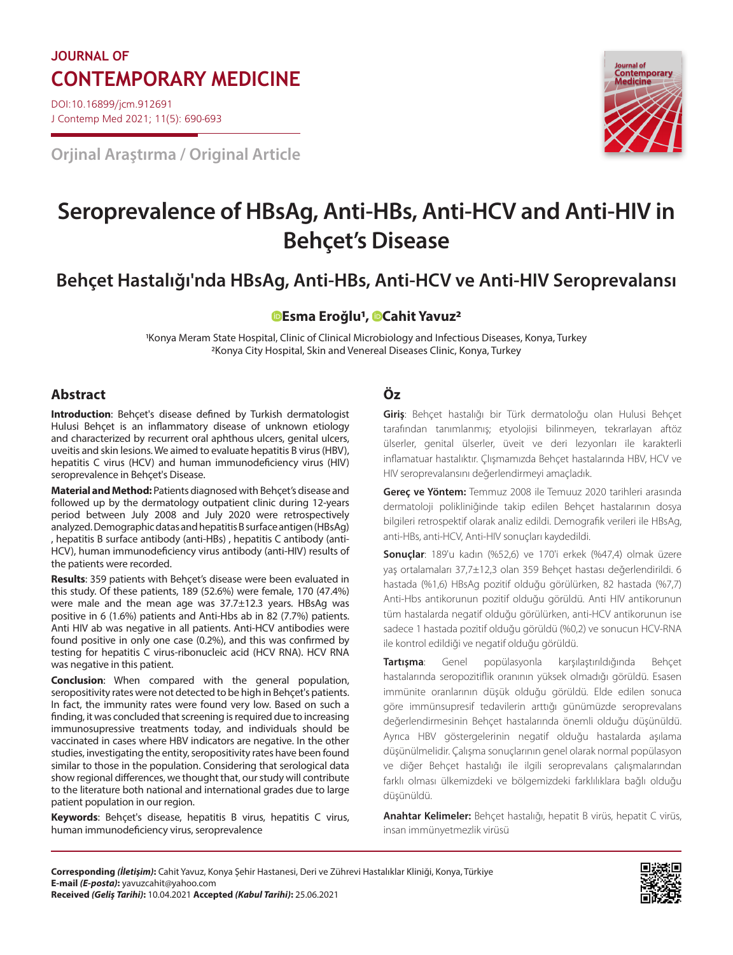## **JOURNAL OF CONTEMPORARY MEDICINE Journal of**

DOI:10.16899/jcm.912691 J Contemp Med 2021; 11(5): 690-693

**Orjinal Araştırma / Original Article**



# **Seroprevalence of HBsAg, Anti-HBs, Anti-HCV and Anti-HIV in Behçet's Disease**

### **Behçet Hastalığı'nda HBsAg, Anti-HBs, Anti-HCV ve Anti-HIV Seroprevalansı**

### **[E](https://orcid.org/0000-0002-0181-6023)sma Eroğlu1, [C](https://orcid.org/0000-0003-4675-8127)ahit Yavuz2**

1Konya Meram State Hospital, Clinic of Clinical Microbiology and Infectious Diseases, Konya, Turkey 2Konya City Hospital, Skin and Venereal Diseases Clinic, Konya, Turkey

#### **Abstract Öz**

**Introduction**: Behçet's disease defined by Turkish dermatologist Hulusi Behçet is an inflammatory disease of unknown etiology and characterized by recurrent oral aphthous ulcers, genital ulcers, uveitis and skin lesions. We aimed to evaluate hepatitis B virus (HBV), hepatitis C virus (HCV) and human immunodeficiency virus (HIV) seroprevalence in Behçet's Disease.

**Material and Method:** Patients diagnosed with Behçet's disease and followed up by the dermatology outpatient clinic during 12-years period between July 2008 and July 2020 were retrospectively analyzed. Demographic datas and hepatitis B surface antigen (HBsAg) , hepatitis B surface antibody (anti-HBs) , hepatitis C antibody (anti-HCV), human immunodeficiency virus antibody (anti-HIV) results of the patients were recorded.

**Results**: 359 patients with Behçet's disease were been evaluated in this study. Of these patients, 189 (52.6%) were female, 170 (47.4%) were male and the mean age was 37.7±12.3 years. HBsAg was positive in 6 (1.6%) patients and Anti-Hbs ab in 82 (7.7%) patients. Anti HIV ab was negative in all patients. Anti-HCV antibodies were found positive in only one case (0.2%), and this was confirmed by testing for hepatitis C virus-ribonucleic acid (HCV RNA). HCV RNA was negative in this patient.

**Conclusion**: When compared with the general population, seropositivity rates were not detected to be high in Behçet's patients. In fact, the immunity rates were found very low. Based on such a finding, it was concluded that screening is required due to increasing immunosupressive treatments today, and individuals should be vaccinated in cases where HBV indicators are negative. In the other studies, investigating the entity, seropositivity rates have been found similar to those in the population. Considering that serological data show regional differences, we thought that, our study will contribute to the literature both national and international grades due to large patient population in our region.

**Keywords**: Behçet's disease, hepatitis B virus, hepatitis C virus, human immunodeficiency virus, seroprevalence

**Giriş**: Behçet hastalığı bir Türk dermatoloğu olan Hulusi Behçet tarafından tanımlanmış; etyolojisi bilinmeyen, tekrarlayan aftöz ülserler, genital ülserler, üveit ve deri lezyonları ile karakterli inflamatuar hastalıktır. Çlışmamızda Behçet hastalarında HBV, HCV ve HIV seroprevalansını değerlendirmeyi amaçladık.

**Gereç ve Yöntem:** Temmuz 2008 ile Temuuz 2020 tarihleri arasında dermatoloji polikliniğinde takip edilen Behçet hastalarının dosya bilgileri retrospektif olarak analiz edildi. Demografik verileri ile HBsAg, anti-HBs, anti-HCV, Anti-HIV sonuçları kaydedildi.

**Sonuçlar**: 189'u kadın (%52,6) ve 170'i erkek (%47,4) olmak üzere yaş ortalamaları 37,7±12,3 olan 359 Behçet hastası değerlendirildi. 6 hastada (%1,6) HBsAg pozitif olduğu görülürken, 82 hastada (%7,7) Anti-Hbs antikorunun pozitif olduğu görüldü. Anti HIV antikorunun tüm hastalarda negatif olduğu görülürken, anti-HCV antikorunun ise sadece 1 hastada pozitif olduğu görüldü (%0,2) ve sonucun HCV-RNA ile kontrol edildiği ve negatif olduğu görüldü.

**Tartışma**: Genel popülasyonla karşılaştırıldığında Behçet hastalarında seropozitiflik oranının yüksek olmadığı görüldü. Esasen immünite oranlarının düşük olduğu görüldü. Elde edilen sonuca göre immünsupresif tedavilerin arttığı günümüzde seroprevalans değerlendirmesinin Behçet hastalarında önemli olduğu düşünüldü. Ayrıca HBV göstergelerinin negatif olduğu hastalarda aşılama düşünülmelidir. Çalışma sonuçlarının genel olarak normal popülasyon ve diğer Behçet hastalığı ile ilgili seroprevalans çalışmalarından farklı olması ülkemizdeki ve bölgemizdeki farklılıklara bağlı olduğu düşünüldü.

**Anahtar Kelimeler:** Behçet hastalığı, hepatit B virüs, hepatit C virüs, insan immünyetmezlik virüsü

**Corresponding** *(İletişim)***:** Cahit Yavuz, Konya Şehir Hastanesi, Deri ve Zührevi Hastalıklar Kliniği, Konya, Türkiye **E-mail** *(E-posta)***:** yavuzcahit@yahoo.com **Received** *(Geliş Tarihi)***:** 10.04.2021 **Accepted** *(Kabul Tarihi)***:** 25.06.2021

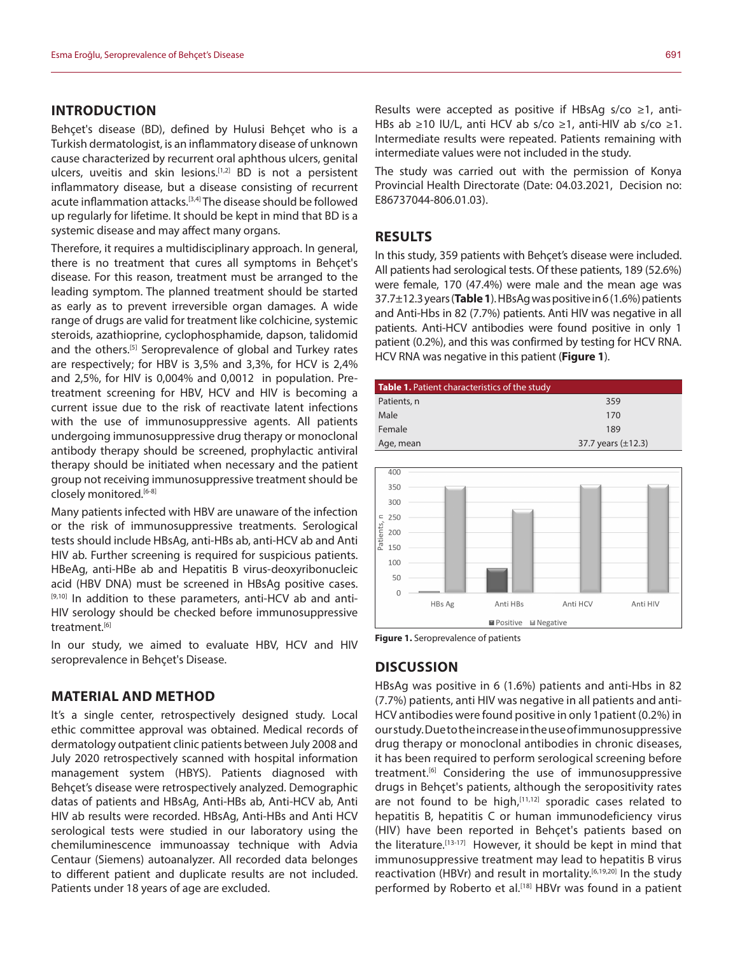#### **INTRODUCTION**

Behçet's disease (BD), defined by Hulusi Behçet who is a Turkish dermatologist, is an inflammatory disease of unknown cause characterized by recurrent oral aphthous ulcers, genital ulcers, uveitis and skin lesions.<sup>[1,2]</sup> BD is not a persistent inflammatory disease, but a disease consisting of recurrent acute inflammation attacks.<sup>[3,4]</sup> The disease should be followed up regularly for lifetime. It should be kept in mind that BD is a systemic disease and may affect many organs.

Therefore, it requires a multidisciplinary approach. In general, there is no treatment that cures all symptoms in Behçet's disease. For this reason, treatment must be arranged to the leading symptom. The planned treatment should be started as early as to prevent irreversible organ damages. A wide range of drugs are valid for treatment like colchicine, systemic steroids, azathioprine, cyclophosphamide, dapson, talidomid and the others.[5] Seroprevalence of global and Turkey rates are respectively; for HBV is 3,5% and 3,3%, for HCV is 2,4% and 2,5%, for HIV is 0,004% and 0,0012 in population. Pretreatment screening for HBV, HCV and HIV is becoming a current issue due to the risk of reactivate latent infections with the use of immunosuppressive agents. All patients undergoing immunosuppressive drug therapy or monoclonal antibody therapy should be screened, prophylactic antiviral therapy should be initiated when necessary and the patient group not receiving immunosuppressive treatment should be closely monitored.<sup>[6-8]</sup>

Many patients infected with HBV are unaware of the infection or the risk of immunosuppressive treatments. Serological tests should include HBsAg, anti-HBs ab, anti-HCV ab and Anti HIV ab. Further screening is required for suspicious patients. HBeAg, anti-HBe ab and Hepatitis B virus-deoxyribonucleic acid (HBV DNA) must be screened in HBsAg positive cases. [9,10] In addition to these parameters, anti-HCV ab and anti-HIV serology should be checked before immunosuppressive treatment.<sup>[6]</sup>

In our study, we aimed to evaluate HBV, HCV and HIV seroprevalence in Behçet's Disease.

#### **MATERIAL AND METHOD**

It's a single center, retrospectively designed study. Local ethic committee approval was obtained. Medical records of dermatology outpatient clinic patients between July 2008 and July 2020 retrospectively scanned with hospital information management system (HBYS). Patients diagnosed with Behçet's disease were retrospectively analyzed. Demographic datas of patients and HBsAg, Anti-HBs ab, Anti-HCV ab, Anti HIV ab results were recorded. HBsAg, Anti-HBs and Anti HCV serological tests were studied in our laboratory using the chemiluminescence immunoassay technique with Advia Centaur (Siemens) autoanalyzer. All recorded data belonges to different patient and duplicate results are not included. Patients under 18 years of age are excluded.

Results were accepted as positive if HBsAg s/co ≥1, anti-HBs ab ≥10 IU/L, anti HCV ab s/co ≥1, anti-HIV ab s/co ≥1. Intermediate results were repeated. Patients remaining with intermediate values were not included in the study.

The study was carried out with the permission of Konya Provincial Health Directorate (Date: 04.03.2021, Decision no: E86737044-806.01.03).

#### **RESULTS**

In this study, 359 patients with Behçet's disease were included. All patients had serological tests. Of these patients, 189 (52.6%) were female, 170 (47.4%) were male and the mean age was 37.7±12.3 years (**Table 1**). HBsAg was positive in 6 (1.6%) patients and Anti-Hbs in 82 (7.7%) patients. Anti HIV was negative in all patients. Anti-HCV antibodies were found positive in only 1 patient (0.2%), and this was confirmed by testing for HCV RNA. HCV RNA was negative in this patient (**Figure 1**).

| <b>Table 1.</b> Patient characteristics of the study |                         |
|------------------------------------------------------|-------------------------|
| Patients, n                                          | 359                     |
| Male                                                 | 170                     |
| Female                                               | 189                     |
| Age, mean                                            | 37.7 years $(\pm 12.3)$ |



**Figure 1.** Seroprevalence of patients

#### **DISCUSSION**

HBsAg was positive in 6 (1.6%) patients and anti-Hbs in 82 (7.7%) patients, anti HIV was negative in all patients and anti-HCV antibodies were found positive in only 1patient (0.2%) in our study. Due to the increase in the use of immunosuppressive drug therapy or monoclonal antibodies in chronic diseases, it has been required to perform serological screening before treatment.[6] Considering the use of immunosuppressive drugs in Behçet's patients, although the seropositivity rates are not found to be high, $[11,12]$  sporadic cases related to hepatitis B, hepatitis C or human immunodeficiency virus (HIV) have been reported in Behçet's patients based on the literature.[13-17] However, it should be kept in mind that immunosuppressive treatment may lead to hepatitis B virus reactivation (HBVr) and result in mortality.<sup>[6,19,20]</sup> In the study performed by Roberto et al.<sup>[18]</sup> HBVr was found in a patient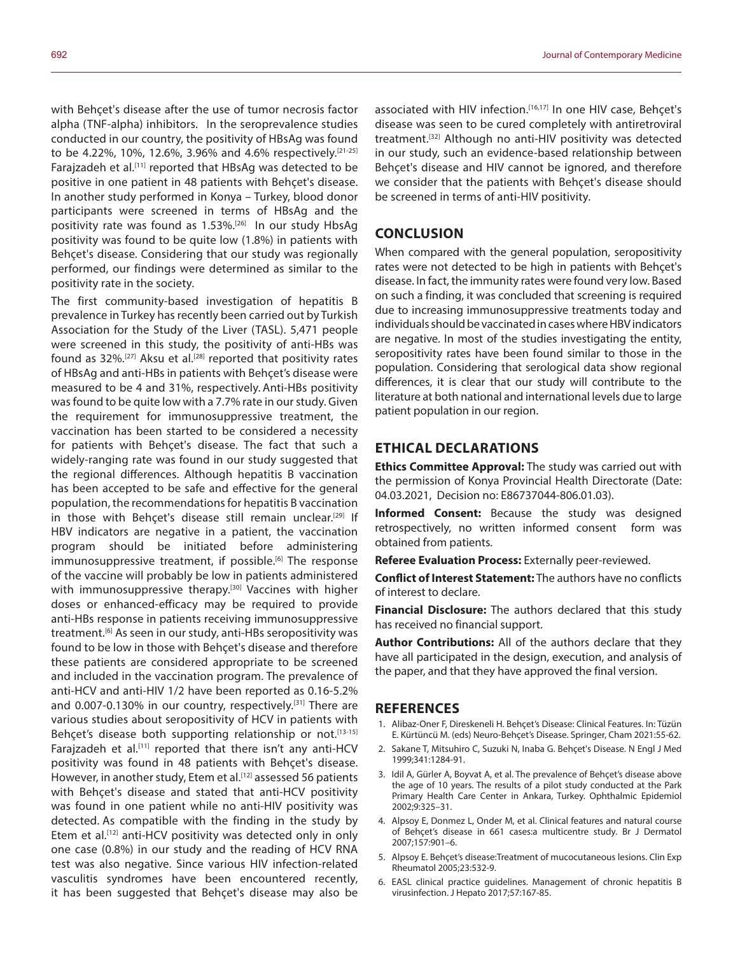with Behcet's disease after the use of tumor necrosis factor alpha (TNF-alpha) inhibitors. In the seroprevalence studies conducted in our country, the positivity of HBsAg was found to be 4.22%, 10%, 12.6%, 3.96% and 4.6% respectively.[21-25] Faraizadeh et al.<sup>[11]</sup> reported that HBsAg was detected to be positive in one patient in 48 patients with Behçet's disease. In another study performed in Konya – Turkey, blood donor participants were screened in terms of HBsAg and the positivity rate was found as 1.53%.[26] In our study HbsAg positivity was found to be quite low (1.8%) in patients with Behcet's disease. Considering that our study was regionally performed, our findings were determined as similar to the positivity rate in the society.

The first community-based investigation of hepatitis B prevalence in Turkey has recently been carried out by Turkish Association for the Study of the Liver (TASL). 5,471 people were screened in this study, the positivity of anti-HBs was found as  $32\%$ .<sup>[27]</sup> Aksu et al.<sup>[28]</sup> reported that positivity rates of HBsAg and anti-HBs in patients with Behçet's disease were measured to be 4 and 31%, respectively. Anti-HBs positivity was found to be quite low with a 7.7% rate in our study. Given the requirement for immunosuppressive treatment, the vaccination has been started to be considered a necessity for patients with Behçet's disease. The fact that such a widely-ranging rate was found in our study suggested that the regional differences. Although hepatitis B vaccination has been accepted to be safe and effective for the general population, the recommendations for hepatitis B vaccination in those with Behcet's disease still remain unclear.<sup>[29]</sup> If HBV indicators are negative in a patient, the vaccination program should be initiated before administering immunosuppressive treatment, if possible.<sup>[6]</sup> The response of the vaccine will probably be low in patients administered with immunosuppressive therapy.<sup>[30]</sup> Vaccines with higher doses or enhanced-efficacy may be required to provide anti-HBs response in patients receiving immunosuppressive treatment.<sup>[6]</sup> As seen in our study, anti-HBs seropositivity was found to be low in those with Behçet's disease and therefore these patients are considered appropriate to be screened and included in the vaccination program. The prevalence of anti-HCV and anti-HIV 1/2 have been reported as 0.16-5.2% and 0.007-0.130% in our country, respectively.<sup>[31]</sup> There are various studies about seropositivity of HCV in patients with Behçet's disease both supporting relationship or not.<sup>[13-15]</sup> Farajzadeh et al.<sup>[11]</sup> reported that there isn't any anti-HCV positivity was found in 48 patients with Behçet's disease. However, in another study, Etem et al.<sup>[12]</sup> assessed 56 patients with Behçet's disease and stated that anti-HCV positivity was found in one patient while no anti-HIV positivity was detected. As compatible with the finding in the study by Etem et al.<sup>[12]</sup> anti-HCV positivity was detected only in only one case (0.8%) in our study and the reading of HCV RNA test was also negative. Since various HIV infection-related vasculitis syndromes have been encountered recently, it has been suggested that Behçet's disease may also be

associated with HIV infection.<sup>[16,17]</sup> In one HIV case, Behcet's disease was seen to be cured completely with antiretroviral treatment.[32] Although no anti-HIV positivity was detected in our study, such an evidence-based relationship between Behçet's disease and HIV cannot be ignored, and therefore we consider that the patients with Behçet's disease should be screened in terms of anti-HIV positivity.

#### **CONCLUSION**

When compared with the general population, seropositivity rates were not detected to be high in patients with Behçet's disease. In fact, the immunity rates were found very low. Based on such a finding, it was concluded that screening is required due to increasing immunosuppressive treatments today and individuals should be vaccinated in cases where HBV indicators are negative. In most of the studies investigating the entity, seropositivity rates have been found similar to those in the population. Considering that serological data show regional differences, it is clear that our study will contribute to the literature at both national and international levels due to large patient population in our region.

#### **ETHICAL DECLARATIONS**

**Ethics Committee Approval:** The study was carried out with the permission of Konya Provincial Health Directorate (Date: 04.03.2021, Decision no: E86737044-806.01.03).

**Informed Consent:** Because the study was designed retrospectively, no written informed consent form was obtained from patients.

**Referee Evaluation Process:** Externally peer-reviewed.

**Conflict of Interest Statement:** The authors have no conflicts of interest to declare.

**Financial Disclosure:** The authors declared that this study has received no financial support.

**Author Contributions:** All of the authors declare that they have all participated in the design, execution, and analysis of the paper, and that they have approved the final version.

#### **REFERENCES**

- 1. Alibaz-Oner F, Direskeneli H. Behçet's Disease: Clinical Features. In: Tüzün E. Kürtüncü M. (eds) Neuro-Behçet's Disease. Springer, Cham 2021:55-62.
- 2. Sakane T, Mitsuhiro C, Suzuki N, Inaba G. Behçet's Disease. N Engl J Med 1999;341:1284-91.
- 3. Idil A, Gürler A, Boyvat A, et al. The prevalence of Behçet's disease above the age of 10 years. The results of a pilot study conducted at the Park Primary Health Care Center in Ankara, Turkey. Ophthalmic Epidemiol 2002;9:325–31.
- 4. Alpsoy E, Donmez L, Onder M, et al. Clinical features and natural course of Behçet's disease in 661 cases:a multicentre study. Br J Dermatol 2007;157:901–6.
- 5. Alpsoy E. Behçet's disease:Treatment of mucocutaneous lesions. Clin Exp Rheumatol 2005;23:532-9.
- 6. EASL clinical practice guidelines. Management of chronic hepatitis B virusinfection. J Hepato 2017;57:167-85.